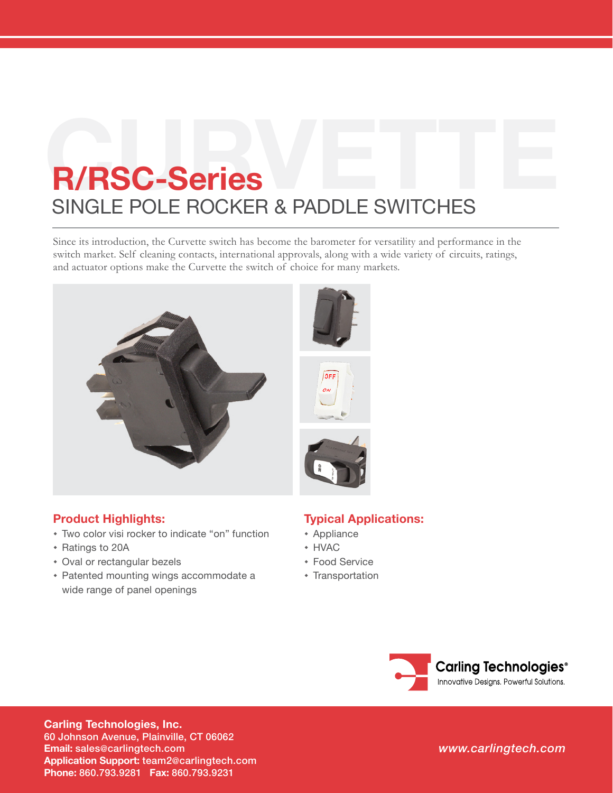# **R/RSC-Series**<br>
SINGLE POLE ROCKER & PADDLE SWITCHES

Since its introduction, the Curvette switch has become the barometer for versatility and performance in the switch market. Self cleaning contacts, international approvals, along with a wide variety of circuits, ratings, and actuator options make the Curvette the switch of choice for many markets.



# **Product Highlights:**

- Two color visi rocker to indicate "on" function
- Ratings to 20A
- Oval or rectangular bezels
- Patented mounting wings accommodate a wide range of panel openings

# **Typical Applications:**

- Appliance
- HVAC
- Food Service
- **\*** Transportation



**Carling Technologies, Inc.** 60 Johnson Avenue, Plainville, CT 06062 **Email:** [sales@carlingtech.com](mailto:sales%40carlingtech.com?subject=) **Application Support:** [team2@carlingtech.com](mailto:team2%40carlingtech.com?subject=) **Phone:** 860.793.9281 **Fax:** 860.793.9231

*[www.carlingtech.com](http://www.carlingtech.com/)*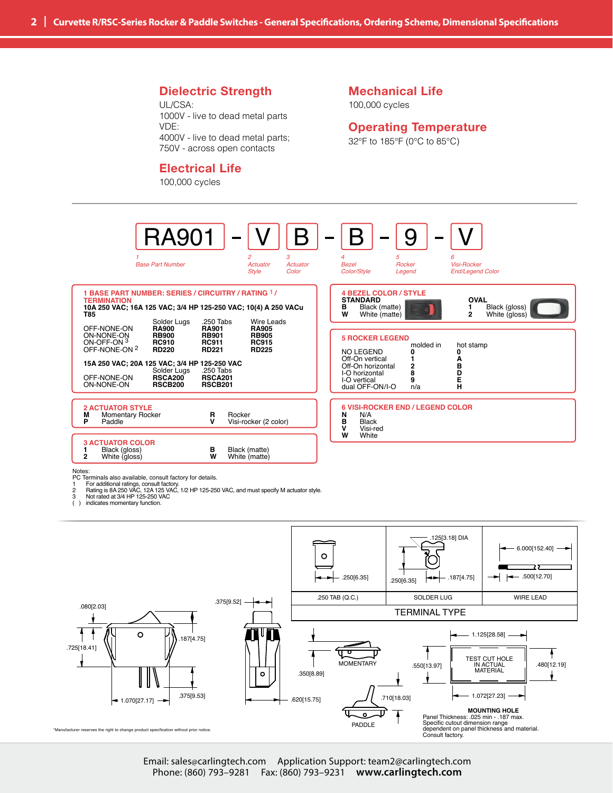### **Dielectric Strength**

UL/CSA: 1000V - live to dead metal parts VDE: 4000V - live to dead metal parts; 750V - across open contacts

#### **Electrical Life**

100,000 cycles

#### **Mechanical Life** 100,000 cycles

#### **Operating Temperature**

32°F to 185°F (0°C to 85°C)



( ) indicates momentary function.

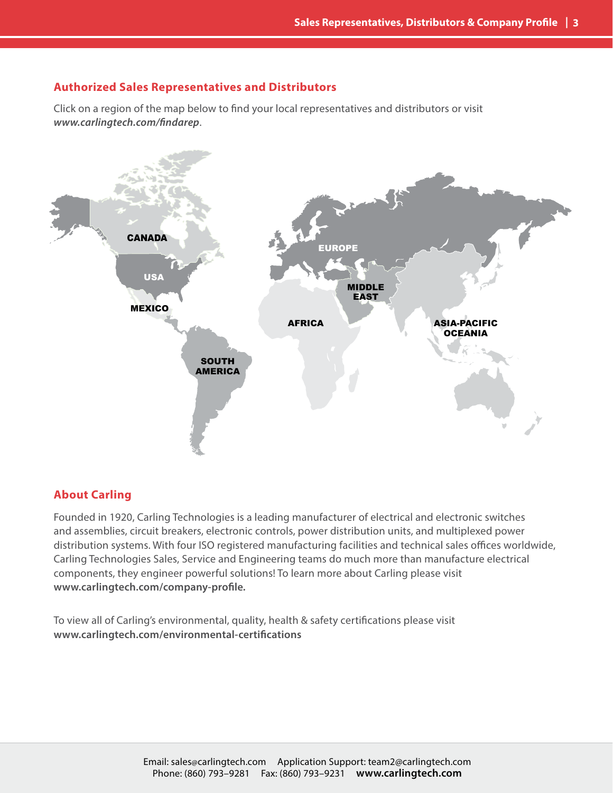## **Authorized Sales Representatives and Distributors**

Click on a region of the map below to find your local representatives and distributors or visit *<www.carlingtech.com/findarep>*.



## **About Carling**

Founded in 1920, Carling Technologies is a leading manufacturer of electrical and electronic switches and assemblies, circuit breakers, electronic controls, power distribution units, and multiplexed power distribution systems. With four ISO registered manufacturing facilities and technical sales offices worldwide, Carling Technologies Sales, Service and Engineering teams do much more than manufacture electrical components, they engineer powerful solutions! To learn more about Carling please visit **[www.carlingtech.com/company-](www.carlingtech.com/company-profile)profile***.*

To view all of Carling's environmental, quality, health & safety certifications please visit **[www.carlingtech.com/environmental-](www.carlingtech.com/environmental-certifications)certifications**